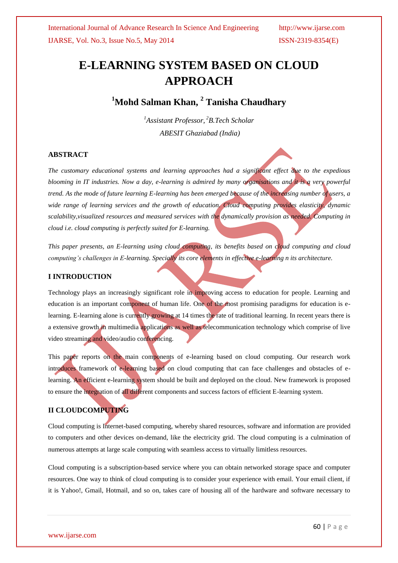# **E-LEARNING SYSTEM BASED ON CLOUD APPROACH**

# **<sup>1</sup>Mohd Salman Khan, <sup>2</sup> Tanisha Chaudhary**

*<sup>1</sup>Assistant Professor, <sup>2</sup>B.Tech Scholar ABESIT Ghaziabad (India)*

#### **ABSTRACT**

*The customary educational systems and learning approaches had a significant effect due to the expedious blooming in IT industries. Now a day, e-learning is admired by many organisations and it is a very powerful trend. As the mode of future learning E-learning has been emerged because of the increasing number of users, a wide range of learning services and the growth of education. Cloud computing provides elasticity, dynamic scalability,visualized resources and measured services with the dynamically provision as needed. Computing in cloud i.e. cloud computing is perfectly suited for E-learning.*

*This paper presents, an E-learning using cloud computing, its benefits based on cloud computing and cloud computing's challenges in E-learning. Specially its core elements in effective e-learning n its architecture.* 

### **I INTRODUCTION**

Technology plays an increasingly significant role in improving access to education for people. Learning and education is an important component of human life. One of the most promising paradigms for education is elearning. E-learning alone is currently growing at 14 times the rate of traditional learning. In recent years there is a extensive growth in multimedia applications as well as telecommunication technology which comprise of live video streaming and video/audio conferencing.

This paper reports on the main components of e-learning based on cloud computing. Our research work introduces framework of e-learning based on cloud computing that can face challenges and obstacles of elearning. An efficient e-learning system should be built and deployed on the cloud. New framework is proposed to ensure the integration of all different components and success factors of efficient E-learning system.

# **II CLOUDCOMPUTING**

Cloud computing is Internet-based computing, whereby shared resources, software and information are provided to computers and other devices on-demand, like the electricity grid. The cloud computing is a culmination of numerous attempts at large scale computing with seamless access to virtually limitless resources.

Cloud computing is a subscription-based service where you can obtain networked storage space and computer resources. One way to think of cloud computing is to consider your experience with email. Your email client, if it is Yahoo!, Gmail, Hotmail, and so on, takes care of housing all of the hardware and software necessary to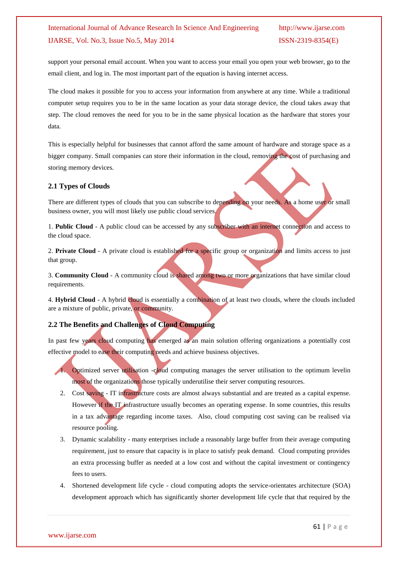support your personal email account. When you want to access your email you open your web browser, go to the email client, and log in. The most important part of the equation is having internet access.

The cloud makes it possible for you to access your information from anywhere at any time. While a traditional computer setup requires you to be in the same location as your data storage device, the cloud takes away that step. The cloud removes the need for you to be in the same physical location as the hardware that stores your data.

This is especially helpful for businesses that cannot afford the same amount of hardware and storage space as a bigger company. Small companies can store their information in the cloud, removing the cost of purchasing and storing memory devices.

## **2.1 Types of Clouds**

There are different types of clouds that you can subscribe to depending on your needs. As a home user or small business owner, you will most likely use public cloud services.

1. **Public Cloud** - A public cloud can be accessed by any subscriber with an internet connection and access to the cloud space.

2. **Private Cloud** - A private cloud is established for a specific group or organization and limits access to just that group.

3. **Community Cloud** - A community cloud is shared among two or more organizations that have similar cloud requirements.

4. **Hybrid Cloud** - A hybrid cloud is essentially a combination of at least two clouds, where the clouds included are a mixture of public, private, or community.

# **2.2 The Benefits and Challenges of Cloud Computing**

In past few years cloud computing has emerged as an main solution offering organizations a potentially cost effective model to ease their computing needs and achieve business objectives.

- 1. Optimized server utilisation -cloud computing manages the server utilisation to the optimum levelin most of the organizations those typically underutilise their server computing resources.
- 2. Cost saving IT infrastructure costs are almost always substantial and are treated as a capital expense. However if the IT infrastructure usually becomes an operating expense. In some countries, this results in a tax advantage regarding income taxes. Also, cloud computing cost saving can be realised via resource pooling.
- 3. Dynamic scalability many enterprises include a reasonably large buffer from their average computing requirement, just to ensure that capacity is in place to satisfy peak demand. Cloud computing provides an extra processing buffer as needed at a low cost and without the capital investment or contingency fees to users.
- 4. Shortened development life cycle cloud computing adopts the service-orientates architecture (SOA) development approach which has significantly shorter development life cycle that that required by the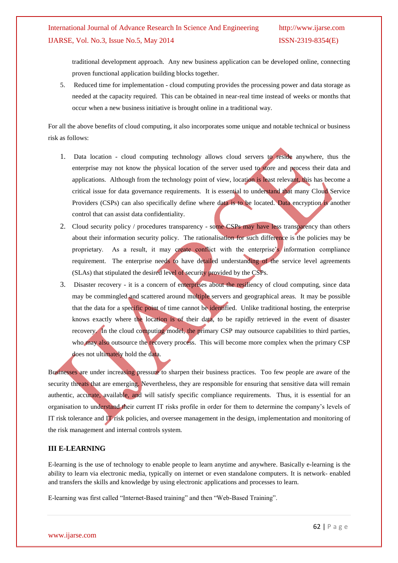traditional development approach. Any new business application can be developed online, connecting proven functional application building blocks together.

5. Reduced time for implementation - cloud computing provides the processing power and data storage as needed at the capacity required. This can be obtained in near-real time instead of weeks or months that occur when a new business initiative is brought online in a traditional way.

For all the above benefits of cloud computing, it also incorporates some unique and notable technical or business risk as follows:

- 1. Data location cloud computing technology allows cloud servers to reside anywhere, thus the enterprise may not know the physical location of the server used to store and process their data and applications. Although from the technology point of view, location is least relevant, this has become a critical issue for data governance requirements. It is essential to understand that many Cloud Service Providers (CSPs) can also specifically define where data is to be located. Data encryption is another control that can assist data confidentiality.
- 2. Cloud security policy / procedures transparency some CSPs may have less transparency than others about their information security policy. The rationalisation for such difference is the policies may be proprietary. As a result, it may create conflict with the enterprise's information compliance requirement. The enterprise needs to have detailed understanding of the service level agreements (SLAs) that stipulated the desired level of security provided by the CSPs.
- 3. Disaster recovery it is a concern of enterprises about the resiliency of cloud computing, since data may be commingled and scattered around multiple servers and geographical areas. It may be possible that the data for a specific point of time cannot be identified. Unlike traditional hosting, the enterprise knows exactly where the location is of their data, to be rapidly retrieved in the event of disaster recovery. In the cloud computing model, the primary CSP may outsource capabilities to third parties, who may also outsource the recovery process. This will become more complex when the primary CSP does not ultimately hold the data.

Businesses are under increasing pressure to sharpen their business practices. Too few people are aware of the security threats that are emerging. Nevertheless, they are responsible for ensuring that sensitive data will remain authentic, accurate, available, and will satisfy specific compliance requirements. Thus, it is essential for an organisation to understand their current IT risks profile in order for them to determine the company's levels of IT risk tolerance and IT risk policies, and oversee management in the design, implementation and monitoring of the risk management and internal controls system.

#### **III E-LEARNING**

E-learning is the use of technology to enable people to learn anytime and anywhere. Basically e-learning is the ability to learn via electronic media, typically on internet or even standalone computers. It is network- enabled and transfers the skills and knowledge by using electronic applications and processes to learn.

E-learning was first called "Internet-Based training" and then "Web-Based Training".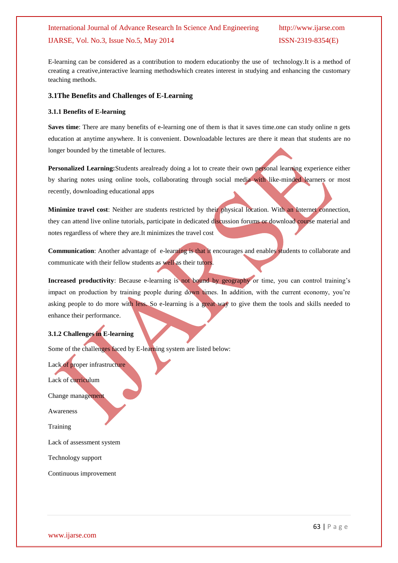E-learning can be considered as a contribution to modern educationby the use of technology.It is a method of creating a creative,interactive learning methodswhich creates interest in studying and enhancing the customary teaching methods.

#### **3.1The Benefits and Challenges of E-Learning**

#### **3.1.1 Benefits of E-learning**

**Saves time**: There are many benefits of e-learning one of them is that it saves time.one can study online n gets education at anytime anywhere. It is convenient. Downloadable lectures are there it mean that students are no longer bounded by the timetable of lectures.

**Personalized Learning:**Students arealready doing a lot to create their own personal learning experience either by sharing notes using online tools, collaborating through social media with like-minded learners or most recently, downloading educational apps

**Minimize travel cost**: Neither are students restricted by their physical location. With an Internet connection, they can attend live online tutorials, participate in dedicated discussion forums or download course material and notes regardless of where they are.It minimizes the travel cost

**Communication**: Another advantage of e-learning is that it encourages and enables students to collaborate and communicate with their fellow students as well as their tutors.

**Increased productivity**: Because e-learning is not bound by geography or time, you can control training's impact on production by training people during down times. In addition, with the current economy, you're asking people to do more with less. So e-learning is a great way to give them the tools and skills needed to enhance their performance.

#### **3.1.2 Challenges in E-learning**

Some of the challenges faced by E-learning system are listed below:

Lack of proper infrastructure Lack of curriculum Change management Awareness Training Lack of assessment system Technology support Continuous improvement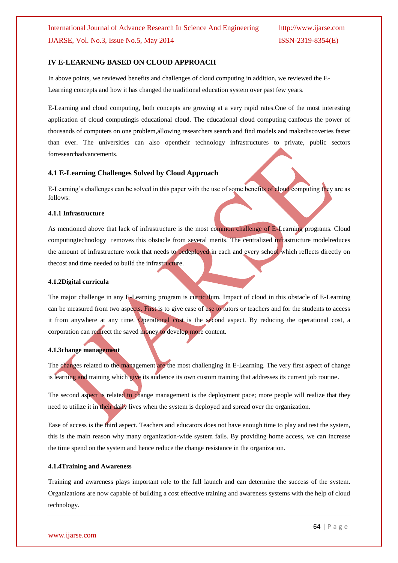#### **IV E-LEARNING BASED ON CLOUD APPROACH**

In above points, we reviewed benefits and challenges of cloud computing in addition, we reviewed the E-Learning concepts and how it has changed the traditional education system over past few years.

E-Learning and cloud computing, both concepts are growing at a very rapid rates.One of the most interesting application of cloud computingis educational cloud. The educational cloud computing canfocus the power of thousands of computers on one problem,allowing researchers search and find models and makediscoveries faster than ever. The universities can also opentheir technology infrastructures to private, public sectors forresearchadvancements.

#### **4.1 E-Learning Challenges Solved by Cloud Approach**

E-Learning's challenges can be solved in this paper with the use of some benefits of cloud computing they are as follows:

#### **4.1.1 Infrastructure**

As mentioned above that lack of infrastructure is the most common challenge of E-Learning programs. Cloud computingtechnology removes this obstacle from several merits. The centralized infrastructure modelreduces the amount of infrastructure work that needs to bedeployed in each and every school which reflects directly on thecost and time needed to build the infrastructure.

#### **4.1.2Digital curricula**

The major challenge in any E-Learning program is curriculum. Impact of cloud in this obstacle of E-Learning can be measured from two aspects. First is to give ease of use to tutors or teachers and for the students to access it from anywhere at any time. Operational cost is the second aspect. By reducing the operational cost, a corporation can redirect the saved money to develop more content.

#### **4.1.3change management**

The changes related to the management are the most challenging in E-Learning. The very first aspect of change is learning and training which give its audience its own custom training that addresses its current job routine.

The second aspect is related to change management is the deployment pace; more people will realize that they need to utilize it in their daily lives when the system is deployed and spread over the organization.

Ease of access is the third aspect. Teachers and educators does not have enough time to play and test the system, this is the main reason why many organization-wide system fails. By providing home access, we can increase the time spend on the system and hence reduce the change resistance in the organization.

#### **4.1.4Training and Awareness**

Training and awareness plays important role to the full launch and can determine the success of the system. Organizations are now capable of building a cost effective training and awareness systems with the help of cloud technology.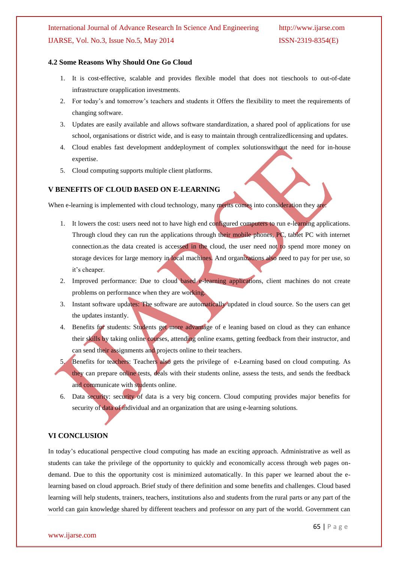#### **4.2 Some Reasons Why Should One Go Cloud**

- 1. It is cost-effective, scalable and provides flexible model that does not tieschools to out-of-date infrastructure orapplication investments.
- 2. For today's and tomorrow's teachers and students it Offers the flexibility to meet the requirements of changing software.
- 3. Updates are easily available and allows software standardization, a shared pool of applications for use school, organisations or district wide, and is easy to maintain through centralizedlicensing and updates.
- 4. Cloud enables fast development anddeployment of complex solutionswithout the need for in-house expertise.
- 5. Cloud computing supports multiple client platforms.

#### **V BENEFITS OF CLOUD BASED ON E-LEARNING**

When e-learning is implemented with cloud technology, many merits comes into consideration they are

- 1. It lowers the cost: users need not to have high end configured computers to run e-learning applications. Through cloud they can run the applications through their mobile phones, PC, tablet PC with internet connection.as the data created is accessed in the cloud, the user need not to spend more money on storage devices for large memory in local machines. And organizations also need to pay for per use, so it's cheaper.
- 2. Improved performance: Due to cloud based e-learning applications, client machines do not create problems on performance when they are working.
- 3. Instant software updates: The software are automatically updated in cloud source. So the users can get the updates instantly.
- 4. Benefits for students: Students get more advantage of e leaning based on cloud as they can enhance their skills by taking online courses, attending online exams, getting feedback from their instructor, and can send their assignments and projects online to their teachers.
- 5. Benefits for teachers: Teachers also gets the privilege of e-Learning based on cloud computing. As they can prepare online tests, deals with their students online, assess the tests, and sends the feedback and communicate with students online.
- 6. Data security: security of data is a very big concern. Cloud computing provides major benefits for security of data of individual and an organization that are using e-learning solutions.

#### **VI CONCLUSION**

In today's educational perspective cloud computing has made an exciting approach. Administrative as well as students can take the privilege of the opportunity to quickly and economically access through web pages ondemand. Due to this the opportunity cost is minimized automatically. In this paper we learned about the elearning based on cloud approach. Brief study of there definition and some benefits and challenges. Cloud based learning will help students, trainers, teachers, institutions also and students from the rural parts or any part of the world can gain knowledge shared by different teachers and professor on any part of the world. Government can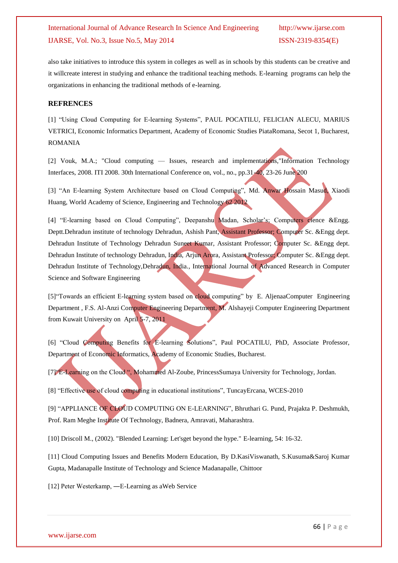also take initiatives to introduce this system in colleges as well as in schools by this students can be creative and it willcreate interest in studying and enhance the traditional teaching methods. E-learning programs can help the organizations in enhancing the traditional methods of e-learning.

### **REFRENCES**

[1] "Using Cloud Computing for E-learning Systems", PAUL POCATILU, FELICIAN ALECU, MARIUS VETRICI, Economic Informatics Department, Academy of Economic Studies PiataRomana, Secot 1, Bucharest, ROMANIA

[2] Vouk, M.A.; "Cloud computing — Issues, research and implementations,"Information Technology Interfaces, 2008. ITI 2008. 30th International Conference on, vol., no., pp.31-40, 23-26 June 200

[3] "An E-learning System Architecture based on Cloud Computing", Md. Anwar Hossain Masud, Xiaodi Huang, World Academy of Science, Engineering and Technology 62 2012

[4] "E-learning based on Cloud Computing", Deepanshu Madan, Scholar's; Computers cience &Engg. Deptt.Dehradun institute of technology Dehradun, Ashish Pant, Assistant Professor; Computer Sc. &Engg dept. Dehradun Institute of Technology Dehradun Suneet Kumar, Assistant Professor; Computer Sc. &Engg dept. Dehradun Institute of technology Dehradun, India, Arjun Arora, Assistant Professor; Computer Sc. &Engg dept. Dehradun Institute of Technology,Dehradun, India.*,* International Journal of Advanced Research in Computer Science and Software Engineering

[5]"Towards an efficient E-learning system based on cloud computing" by E. AljenaaComputer Engineering Department , F.S. Al-Anzi Computer Engineering Department, M. Alshayeji Computer Engineering Department from Kuwait University on April 5-7, 2011

[6] "Cloud Computing Benefits for E-learning Solutions", Paul POCATILU, PhD, Associate Professor, Department of Economic Informatics, Academy of Economic Studies, Bucharest.

[7]"E-Learning on the Cloud ", Mohammed Al-Zoube, PrincessSumaya University for Technology, Jordan.

[8] "Effective use of cloud computing in educational institutions", TuncayErcana, WCES-2010

[9] "APPLIANCE OF CLOUD COMPUTING ON E-LEARNING", Bhruthari G. Pund, Prajakta P. Deshmukh, Prof. Ram Meghe Institute Of Technology, Badnera, Amravati, Maharashtra.

[10] Driscoll M., (2002). "Blended Learning: Let'sget beyond the hype." E-learning, 54: 16-32.

[11] Cloud Computing Issues and Benefits Modern Education, By D.KasiViswanath, S.Kusuma&Saroj Kumar Gupta, Madanapalle Institute of Technology and Science Madanapalle, Chittoor

[12] Peter Westerkamp, ―E-Learning as aWeb Service